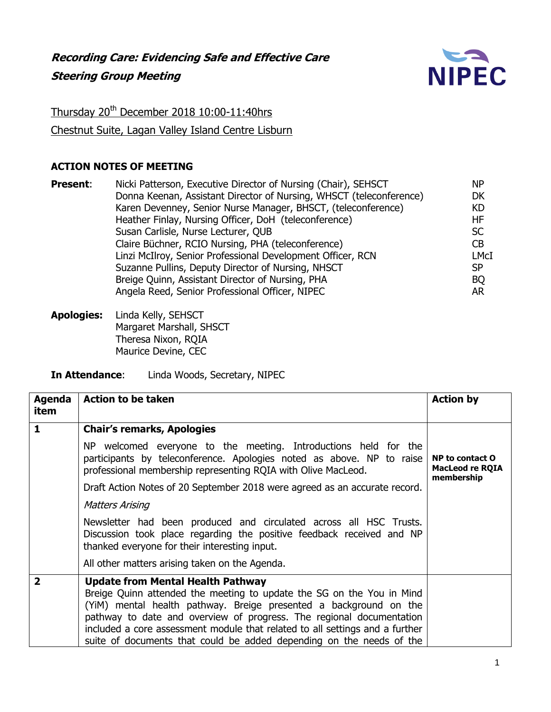

Thursday 20<sup>th</sup> December 2018 10:00-11:40hrs Chestnut Suite, Lagan Valley Island Centre Lisburn

## **ACTION NOTES OF MEETING**

| <b>Present:</b> | Nicki Patterson, Executive Director of Nursing (Chair), SEHSCT      | <b>NP</b> |
|-----------------|---------------------------------------------------------------------|-----------|
|                 | Donna Keenan, Assistant Director of Nursing, WHSCT (teleconference) | <b>DK</b> |
|                 | Karen Devenney, Senior Nurse Manager, BHSCT, (teleconference)       | KD        |
|                 | Heather Finlay, Nursing Officer, DoH (teleconference)               | HF        |
|                 | Susan Carlisle, Nurse Lecturer, QUB                                 | <b>SC</b> |
|                 | Claire Büchner, RCIO Nursing, PHA (teleconference)                  | <b>CB</b> |
|                 | Linzi McIlroy, Senior Professional Development Officer, RCN         | LMcI      |
|                 | Suzanne Pullins, Deputy Director of Nursing, NHSCT                  | <b>SP</b> |
|                 | Breige Quinn, Assistant Director of Nursing, PHA                    | <b>BQ</b> |
|                 | Angela Reed, Senior Professional Officer, NIPEC                     | AR.       |
|                 |                                                                     |           |

**Apologies:** Linda Kelly, SEHSCT Margaret Marshall, SHSCT Theresa Nixon, RQIA Maurice Devine, CEC

**In Attendance**: Linda Woods, Secretary, NIPEC

| <b>Agenda</b>           | <b>Action to be taken</b>                                                                                                                                                                                                                                                                                                                                                                                              | <b>Action by</b>                                               |
|-------------------------|------------------------------------------------------------------------------------------------------------------------------------------------------------------------------------------------------------------------------------------------------------------------------------------------------------------------------------------------------------------------------------------------------------------------|----------------------------------------------------------------|
| item                    |                                                                                                                                                                                                                                                                                                                                                                                                                        |                                                                |
| 1                       | <b>Chair's remarks, Apologies</b>                                                                                                                                                                                                                                                                                                                                                                                      |                                                                |
|                         | NP welcomed everyone to the meeting. Introductions held for the<br>participants by teleconference. Apologies noted as above. NP to raise<br>professional membership representing RQIA with Olive MacLeod.                                                                                                                                                                                                              | <b>NP to contact O</b><br><b>MacLeod re RQIA</b><br>membership |
|                         | Draft Action Notes of 20 September 2018 were agreed as an accurate record.                                                                                                                                                                                                                                                                                                                                             |                                                                |
|                         | <b>Matters Arising</b>                                                                                                                                                                                                                                                                                                                                                                                                 |                                                                |
|                         | Newsletter had been produced and circulated across all HSC Trusts.<br>Discussion took place regarding the positive feedback received and NP<br>thanked everyone for their interesting input.                                                                                                                                                                                                                           |                                                                |
|                         | All other matters arising taken on the Agenda.                                                                                                                                                                                                                                                                                                                                                                         |                                                                |
| $\overline{\mathbf{2}}$ | <b>Update from Mental Health Pathway</b><br>Breige Quinn attended the meeting to update the SG on the You in Mind<br>(YiM) mental health pathway. Breige presented a background on the<br>pathway to date and overview of progress. The regional documentation<br>included a core assessment module that related to all settings and a further<br>suite of documents that could be added depending on the needs of the |                                                                |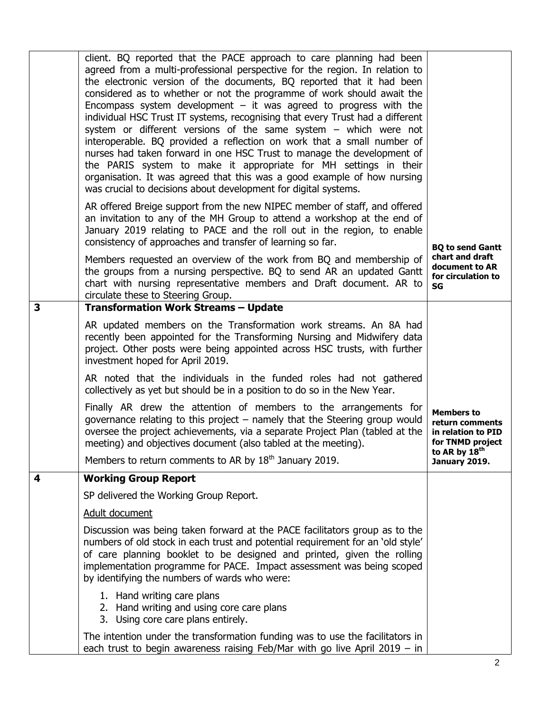|   | client. BQ reported that the PACE approach to care planning had been<br>agreed from a multi-professional perspective for the region. In relation to<br>the electronic version of the documents, BQ reported that it had been<br>considered as to whether or not the programme of work should await the<br>Encompass system development $-$ it was agreed to progress with the<br>individual HSC Trust IT systems, recognising that every Trust had a different<br>system or different versions of the same system - which were not<br>interoperable. BQ provided a reflection on work that a small number of<br>nurses had taken forward in one HSC Trust to manage the development of<br>the PARIS system to make it appropriate for MH settings in their<br>organisation. It was agreed that this was a good example of how nursing<br>was crucial to decisions about development for digital systems. |                                                                                |
|---|----------------------------------------------------------------------------------------------------------------------------------------------------------------------------------------------------------------------------------------------------------------------------------------------------------------------------------------------------------------------------------------------------------------------------------------------------------------------------------------------------------------------------------------------------------------------------------------------------------------------------------------------------------------------------------------------------------------------------------------------------------------------------------------------------------------------------------------------------------------------------------------------------------|--------------------------------------------------------------------------------|
|   | AR offered Breige support from the new NIPEC member of staff, and offered<br>an invitation to any of the MH Group to attend a workshop at the end of<br>January 2019 relating to PACE and the roll out in the region, to enable<br>consistency of approaches and transfer of learning so far.                                                                                                                                                                                                                                                                                                                                                                                                                                                                                                                                                                                                            | <b>BQ to send Gantt</b>                                                        |
|   | Members requested an overview of the work from BQ and membership of<br>the groups from a nursing perspective. BQ to send AR an updated Gantt<br>chart with nursing representative members and Draft document. AR to<br>circulate these to Steering Group.                                                                                                                                                                                                                                                                                                                                                                                                                                                                                                                                                                                                                                                | chart and draft<br>document to AR<br>for circulation to<br>SG                  |
| 3 | <b>Transformation Work Streams - Update</b>                                                                                                                                                                                                                                                                                                                                                                                                                                                                                                                                                                                                                                                                                                                                                                                                                                                              |                                                                                |
|   | AR updated members on the Transformation work streams. An 8A had<br>recently been appointed for the Transforming Nursing and Midwifery data<br>project. Other posts were being appointed across HSC trusts, with further<br>investment hoped for April 2019.                                                                                                                                                                                                                                                                                                                                                                                                                                                                                                                                                                                                                                             |                                                                                |
|   | AR noted that the individuals in the funded roles had not gathered<br>collectively as yet but should be in a position to do so in the New Year.                                                                                                                                                                                                                                                                                                                                                                                                                                                                                                                                                                                                                                                                                                                                                          |                                                                                |
|   | Finally AR drew the attention of members to the arrangements for<br>governance relating to this project – namely that the Steering group would<br>oversee the project achievements, via a separate Project Plan (tabled at the<br>meeting) and objectives document (also tabled at the meeting).                                                                                                                                                                                                                                                                                                                                                                                                                                                                                                                                                                                                         | <b>Members to</b><br>return comments<br>in relation to PID<br>for TNMD project |
|   | Members to return comments to AR by 18 <sup>th</sup> January 2019.                                                                                                                                                                                                                                                                                                                                                                                                                                                                                                                                                                                                                                                                                                                                                                                                                                       | to AR by 18th<br>January 2019.                                                 |
| 4 | <b>Working Group Report</b>                                                                                                                                                                                                                                                                                                                                                                                                                                                                                                                                                                                                                                                                                                                                                                                                                                                                              |                                                                                |
|   | SP delivered the Working Group Report.                                                                                                                                                                                                                                                                                                                                                                                                                                                                                                                                                                                                                                                                                                                                                                                                                                                                   |                                                                                |
|   | Adult document                                                                                                                                                                                                                                                                                                                                                                                                                                                                                                                                                                                                                                                                                                                                                                                                                                                                                           |                                                                                |
|   | Discussion was being taken forward at the PACE facilitators group as to the<br>numbers of old stock in each trust and potential requirement for an 'old style'<br>of care planning booklet to be designed and printed, given the rolling<br>implementation programme for PACE. Impact assessment was being scoped<br>by identifying the numbers of wards who were:                                                                                                                                                                                                                                                                                                                                                                                                                                                                                                                                       |                                                                                |
|   | 1. Hand writing care plans<br>2. Hand writing and using core care plans<br>3. Using core care plans entirely.                                                                                                                                                                                                                                                                                                                                                                                                                                                                                                                                                                                                                                                                                                                                                                                            |                                                                                |
|   | The intention under the transformation funding was to use the facilitators in<br>each trust to begin awareness raising Feb/Mar with go live April $2019 - in$                                                                                                                                                                                                                                                                                                                                                                                                                                                                                                                                                                                                                                                                                                                                            |                                                                                |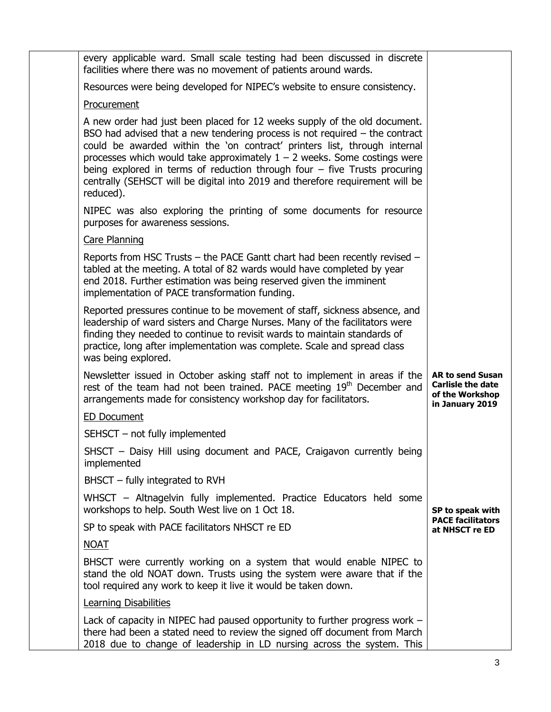| every applicable ward. Small scale testing had been discussed in discrete<br>facilities where there was no movement of patients around wards.                                                                                                                                                                                                                                                                                                                                                      |                                                                                           |
|----------------------------------------------------------------------------------------------------------------------------------------------------------------------------------------------------------------------------------------------------------------------------------------------------------------------------------------------------------------------------------------------------------------------------------------------------------------------------------------------------|-------------------------------------------------------------------------------------------|
| Resources were being developed for NIPEC's website to ensure consistency.                                                                                                                                                                                                                                                                                                                                                                                                                          |                                                                                           |
| Procurement                                                                                                                                                                                                                                                                                                                                                                                                                                                                                        |                                                                                           |
| A new order had just been placed for 12 weeks supply of the old document.<br>BSO had advised that a new tendering process is not required $-$ the contract<br>could be awarded within the 'on contract' printers list, through internal<br>processes which would take approximately $1 - 2$ weeks. Some costings were<br>being explored in terms of reduction through four $-$ five Trusts procuring<br>centrally (SEHSCT will be digital into 2019 and therefore requirement will be<br>reduced). |                                                                                           |
| NIPEC was also exploring the printing of some documents for resource<br>purposes for awareness sessions.                                                                                                                                                                                                                                                                                                                                                                                           |                                                                                           |
| <b>Care Planning</b>                                                                                                                                                                                                                                                                                                                                                                                                                                                                               |                                                                                           |
| Reports from HSC Trusts - the PACE Gantt chart had been recently revised -<br>tabled at the meeting. A total of 82 wards would have completed by year<br>end 2018. Further estimation was being reserved given the imminent<br>implementation of PACE transformation funding.                                                                                                                                                                                                                      |                                                                                           |
| Reported pressures continue to be movement of staff, sickness absence, and<br>leadership of ward sisters and Charge Nurses. Many of the facilitators were<br>finding they needed to continue to revisit wards to maintain standards of<br>practice, long after implementation was complete. Scale and spread class<br>was being explored.                                                                                                                                                          |                                                                                           |
| Newsletter issued in October asking staff not to implement in areas if the<br>rest of the team had not been trained. PACE meeting 19 <sup>th</sup> December and<br>arrangements made for consistency workshop day for facilitators.                                                                                                                                                                                                                                                                | <b>AR to send Susan</b><br><b>Carlisle the date</b><br>of the Workshop<br>in January 2019 |
| <b>ED Document</b>                                                                                                                                                                                                                                                                                                                                                                                                                                                                                 |                                                                                           |
| SEHSCT - not fully implemented                                                                                                                                                                                                                                                                                                                                                                                                                                                                     |                                                                                           |
| SHSCT - Daisy Hill using document and PACE, Craigavon currently being<br>implemented                                                                                                                                                                                                                                                                                                                                                                                                               |                                                                                           |
| $BHSCT - fully integrated to RVH$                                                                                                                                                                                                                                                                                                                                                                                                                                                                  |                                                                                           |
| WHSCT – Altnagelvin fully implemented. Practice Educators held some<br>workshops to help. South West live on 1 Oct 18.                                                                                                                                                                                                                                                                                                                                                                             | SP to speak with                                                                          |
| SP to speak with PACE facilitators NHSCT re ED                                                                                                                                                                                                                                                                                                                                                                                                                                                     | <b>PACE facilitators</b><br>at NHSCT re ED                                                |
| <b>NOAT</b>                                                                                                                                                                                                                                                                                                                                                                                                                                                                                        |                                                                                           |
| BHSCT were currently working on a system that would enable NIPEC to<br>stand the old NOAT down. Trusts using the system were aware that if the<br>tool required any work to keep it live it would be taken down.                                                                                                                                                                                                                                                                                   |                                                                                           |
| <b>Learning Disabilities</b>                                                                                                                                                                                                                                                                                                                                                                                                                                                                       |                                                                                           |
| Lack of capacity in NIPEC had paused opportunity to further progress work -<br>there had been a stated need to review the signed off document from March<br>2018 due to change of leadership in LD nursing across the system. This                                                                                                                                                                                                                                                                 |                                                                                           |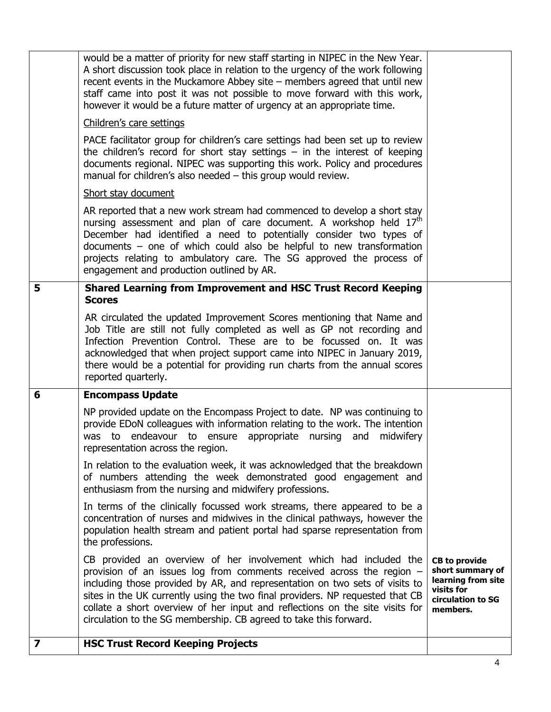| 7 | <b>HSC Trust Record Keeping Projects</b>                                                                                                                                                                                                                                                                                                                                                                                                                          |                                                                                                               |
|---|-------------------------------------------------------------------------------------------------------------------------------------------------------------------------------------------------------------------------------------------------------------------------------------------------------------------------------------------------------------------------------------------------------------------------------------------------------------------|---------------------------------------------------------------------------------------------------------------|
|   | CB provided an overview of her involvement which had included the<br>provision of an issues log from comments received across the region $-$<br>including those provided by AR, and representation on two sets of visits to<br>sites in the UK currently using the two final providers. NP requested that CB<br>collate a short overview of her input and reflections on the site visits for<br>circulation to the SG membership. CB agreed to take this forward. | <b>CB</b> to provide<br>short summary of<br>learning from site<br>visits for<br>circulation to SG<br>members. |
|   | In terms of the clinically focussed work streams, there appeared to be a<br>concentration of nurses and midwives in the clinical pathways, however the<br>population health stream and patient portal had sparse representation from<br>the professions.                                                                                                                                                                                                          |                                                                                                               |
|   | In relation to the evaluation week, it was acknowledged that the breakdown<br>of numbers attending the week demonstrated good engagement and<br>enthusiasm from the nursing and midwifery professions.                                                                                                                                                                                                                                                            |                                                                                                               |
|   | NP provided update on the Encompass Project to date. NP was continuing to<br>provide EDoN colleagues with information relating to the work. The intention<br>was to endeavour to ensure appropriate nursing and<br>midwifery<br>representation across the region.                                                                                                                                                                                                 |                                                                                                               |
| 6 | AR circulated the updated Improvement Scores mentioning that Name and<br>Job Title are still not fully completed as well as GP not recording and<br>Infection Prevention Control. These are to be focussed on. It was<br>acknowledged that when project support came into NIPEC in January 2019,<br>there would be a potential for providing run charts from the annual scores<br>reported quarterly.<br><b>Encompass Update</b>                                  |                                                                                                               |
| 5 | <b>Shared Learning from Improvement and HSC Trust Record Keeping</b><br><b>Scores</b>                                                                                                                                                                                                                                                                                                                                                                             |                                                                                                               |
|   | AR reported that a new work stream had commenced to develop a short stay<br>nursing assessment and plan of care document. A workshop held 17 <sup>th</sup><br>December had identified a need to potentially consider two types of<br>documents $-$ one of which could also be helpful to new transformation<br>projects relating to ambulatory care. The SG approved the process of<br>engagement and production outlined by AR.                                  |                                                                                                               |
|   | PACE facilitator group for children's care settings had been set up to review<br>the children's record for short stay settings $-$ in the interest of keeping<br>documents regional. NIPEC was supporting this work. Policy and procedures<br>manual for children's also needed - this group would review.<br>Short stay document                                                                                                                                 |                                                                                                               |
|   | Children's care settings                                                                                                                                                                                                                                                                                                                                                                                                                                          |                                                                                                               |
|   | would be a matter of priority for new staff starting in NIPEC in the New Year.<br>A short discussion took place in relation to the urgency of the work following<br>recent events in the Muckamore Abbey site $-$ members agreed that until new<br>staff came into post it was not possible to move forward with this work,<br>however it would be a future matter of urgency at an appropriate time.                                                             |                                                                                                               |